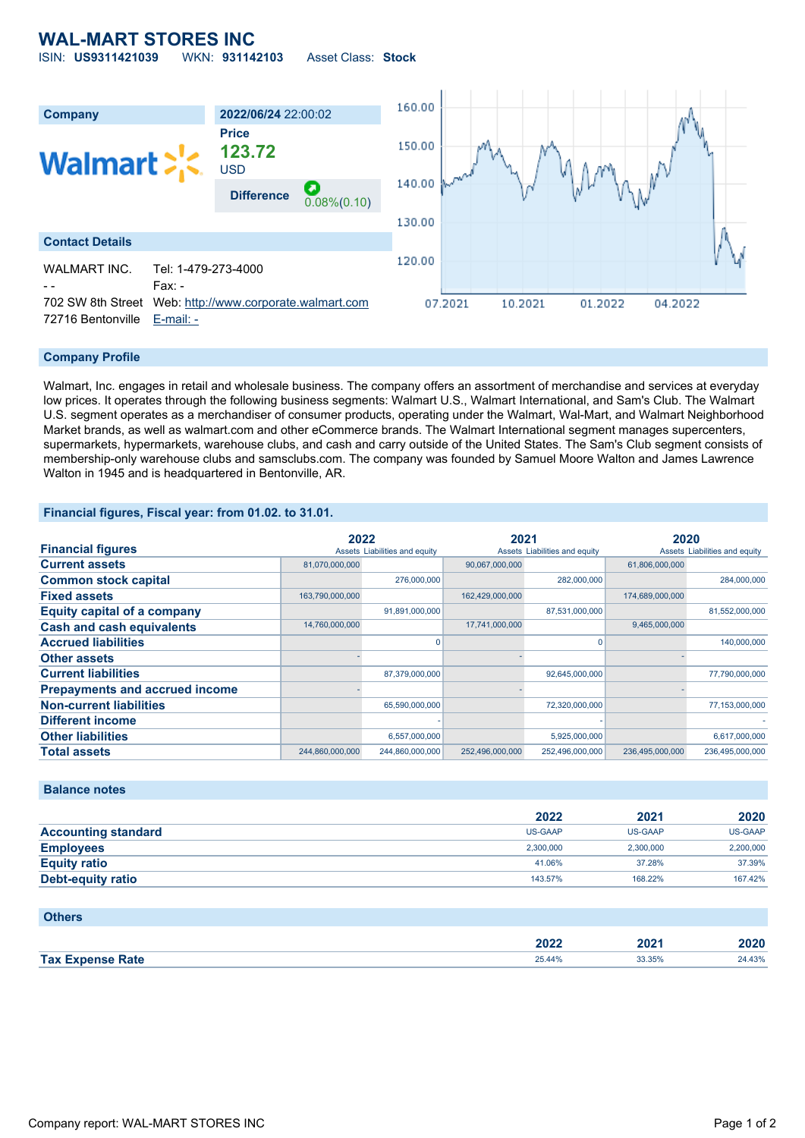## **WAL-MART STORES INC** ISIN: **US9311421039** WKN: **931142103** Asset Class: **Stock**



## **Company Profile**

Walmart, Inc. engages in retail and wholesale business. The company offers an assortment of merchandise and services at everyday low prices. It operates through the following business segments: Walmart U.S., Walmart International, and Sam's Club. The Walmart U.S. segment operates as a merchandiser of consumer products, operating under the Walmart, Wal-Mart, and Walmart Neighborhood Market brands, as well as walmart.com and other eCommerce brands. The Walmart International segment manages supercenters, supermarkets, hypermarkets, warehouse clubs, and cash and carry outside of the United States. The Sam's Club segment consists of membership-only warehouse clubs and samsclubs.com. The company was founded by Samuel Moore Walton and James Lawrence Walton in 1945 and is headquartered in Bentonville, AR.

## **Financial figures, Fiscal year: from 01.02. to 31.01.**

|                                       | 2022            |                               | 2021            |                               | 2020            |                               |
|---------------------------------------|-----------------|-------------------------------|-----------------|-------------------------------|-----------------|-------------------------------|
| <b>Financial figures</b>              |                 | Assets Liabilities and equity |                 | Assets Liabilities and equity |                 | Assets Liabilities and equity |
| <b>Current assets</b>                 | 81,070,000,000  |                               | 90,067,000,000  |                               | 61,806,000,000  |                               |
| <b>Common stock capital</b>           |                 | 276,000,000                   |                 | 282,000,000                   |                 | 284,000,000                   |
| <b>Fixed assets</b>                   | 163,790,000,000 |                               | 162,429,000,000 |                               | 174,689,000,000 |                               |
| <b>Equity capital of a company</b>    |                 | 91,891,000,000                |                 | 87,531,000,000                |                 | 81,552,000,000                |
| <b>Cash and cash equivalents</b>      | 14,760,000,000  |                               | 17,741,000,000  |                               | 9,465,000,000   |                               |
| <b>Accrued liabilities</b>            |                 |                               |                 |                               |                 | 140,000,000                   |
| <b>Other assets</b>                   |                 |                               |                 |                               |                 |                               |
| <b>Current liabilities</b>            |                 | 87,379,000,000                |                 | 92,645,000,000                |                 | 77,790,000,000                |
| <b>Prepayments and accrued income</b> |                 |                               |                 |                               |                 |                               |
| <b>Non-current liabilities</b>        |                 | 65,590,000,000                |                 | 72,320,000,000                |                 | 77,153,000,000                |
| <b>Different income</b>               |                 |                               |                 |                               |                 |                               |
| <b>Other liabilities</b>              |                 | 6,557,000,000                 |                 | 5,925,000,000                 |                 | 6,617,000,000                 |
| <b>Total assets</b>                   | 244,860,000,000 | 244,860,000,000               | 252,496,000,000 | 252,496,000,000               | 236,495,000,000 | 236,495,000,000               |

## **Balance notes**

|                            | 2022           | 2021      | 2020           |
|----------------------------|----------------|-----------|----------------|
| <b>Accounting standard</b> | <b>US-GAAP</b> | US-GAAP   | <b>US-GAAP</b> |
| <b>Employees</b>           | 2.300.000      | 2.300.000 | 2,200,000      |
| <b>Equity ratio</b>        | 41.06%         | 37.28%    | 37.39%         |
| <b>Debt-equity ratio</b>   | 143.57%        | 168.22%   | 167.42%        |

| <b>Others</b>           |        |        |        |
|-------------------------|--------|--------|--------|
|                         | 2022   | 2021   | 2020   |
| <b>Tax Expense Rate</b> | 25.44% | 33.35% | 24.43% |